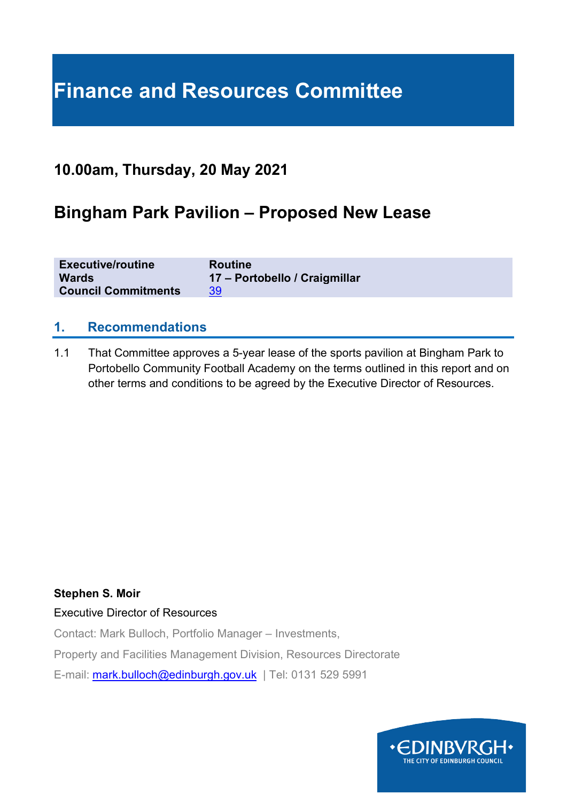# **Finance and Resources Committee**

### **10.00am, Thursday, 20 May 2021**

## **Bingham Park Pavilion – Proposed New Lease**

| <b>Executive/routine</b>   | <b>Routine</b>                |
|----------------------------|-------------------------------|
| <b>Wards</b>               | 17 – Portobello / Craigmillar |
| <b>Council Commitments</b> | 39                            |

#### **1. Recommendations**

1.1 That Committee approves a 5-year lease of the sports pavilion at Bingham Park to Portobello Community Football Academy on the terms outlined in this report and on other terms and conditions to be agreed by the Executive Director of Resources.

#### **Stephen S. Moir**

#### Executive Director of Resources

Contact: Mark Bulloch, Portfolio Manager – Investments,

Property and Facilities Management Division, Resources Directorate

E-mail: [mark.bulloch@edinburgh.gov.uk](mailto:mark.bulloch@edinburgh.gov.uk) | Tel: 0131 529 5991

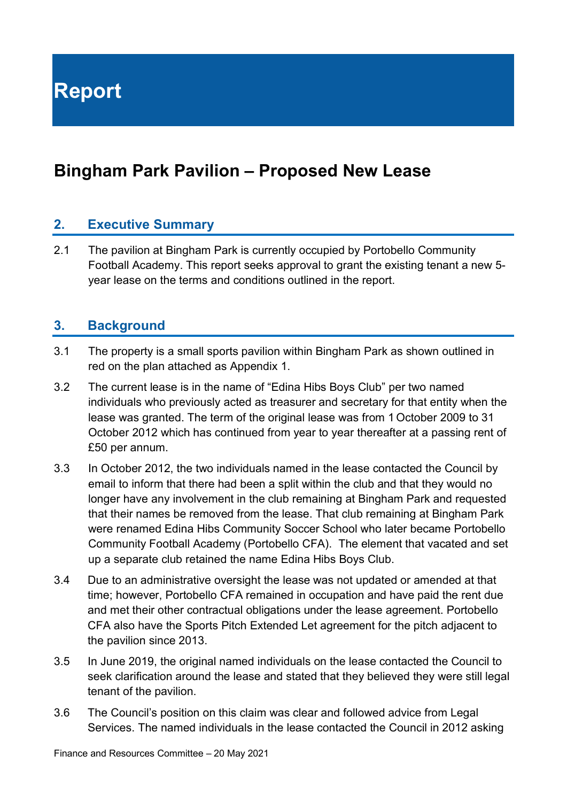**Report**

# **Bingham Park Pavilion – Proposed New Lease**

#### **2. Executive Summary**

2.1 The pavilion at Bingham Park is currently occupied by Portobello Community Football Academy. This report seeks approval to grant the existing tenant a new 5 year lease on the terms and conditions outlined in the report.

#### **3. Background**

- 3.1 The property is a small sports pavilion within Bingham Park as shown outlined in red on the plan attached as Appendix 1.
- 3.2 The current lease is in the name of "Edina Hibs Boys Club" per two named individuals who previously acted as treasurer and secretary for that entity when the lease was granted. The term of the original lease was from 1 October 2009 to 31 October 2012 which has continued from year to year thereafter at a passing rent of £50 per annum.
- 3.3 In October 2012, the two individuals named in the lease contacted the Council by email to inform that there had been a split within the club and that they would no longer have any involvement in the club remaining at Bingham Park and requested that their names be removed from the lease. That club remaining at Bingham Park were renamed Edina Hibs Community Soccer School who later became Portobello Community Football Academy (Portobello CFA). The element that vacated and set up a separate club retained the name Edina Hibs Boys Club.
- 3.4 Due to an administrative oversight the lease was not updated or amended at that time; however, Portobello CFA remained in occupation and have paid the rent due and met their other contractual obligations under the lease agreement. Portobello CFA also have the Sports Pitch Extended Let agreement for the pitch adjacent to the pavilion since 2013.
- 3.5 In June 2019, the original named individuals on the lease contacted the Council to seek clarification around the lease and stated that they believed they were still legal tenant of the pavilion.
- 3.6 The Council's position on this claim was clear and followed advice from Legal Services. The named individuals in the lease contacted the Council in 2012 asking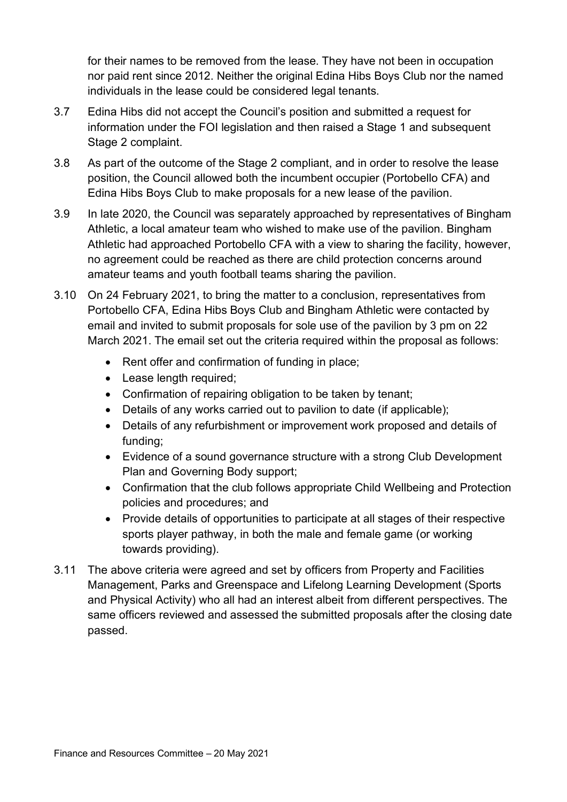for their names to be removed from the lease. They have not been in occupation nor paid rent since 2012. Neither the original Edina Hibs Boys Club nor the named individuals in the lease could be considered legal tenants.

- 3.7 Edina Hibs did not accept the Council's position and submitted a request for information under the FOI legislation and then raised a Stage 1 and subsequent Stage 2 complaint.
- 3.8 As part of the outcome of the Stage 2 compliant, and in order to resolve the lease position, the Council allowed both the incumbent occupier (Portobello CFA) and Edina Hibs Boys Club to make proposals for a new lease of the pavilion.
- 3.9 In late 2020, the Council was separately approached by representatives of Bingham Athletic, a local amateur team who wished to make use of the pavilion. Bingham Athletic had approached Portobello CFA with a view to sharing the facility, however, no agreement could be reached as there are child protection concerns around amateur teams and youth football teams sharing the pavilion.
- 3.10 On 24 February 2021, to bring the matter to a conclusion, representatives from Portobello CFA, Edina Hibs Boys Club and Bingham Athletic were contacted by email and invited to submit proposals for sole use of the pavilion by 3 pm on 22 March 2021. The email set out the criteria required within the proposal as follows:
	- Rent offer and confirmation of funding in place;
	- Lease length required;
	- Confirmation of repairing obligation to be taken by tenant;
	- Details of any works carried out to pavilion to date (if applicable);
	- Details of any refurbishment or improvement work proposed and details of funding;
	- Evidence of a sound governance structure with a strong Club Development Plan and Governing Body support;
	- Confirmation that the club follows appropriate Child Wellbeing and Protection policies and procedures; and
	- Provide details of opportunities to participate at all stages of their respective sports player pathway, in both the male and female game (or working towards providing).
- 3.11 The above criteria were agreed and set by officers from Property and Facilities Management, Parks and Greenspace and Lifelong Learning Development (Sports and Physical Activity) who all had an interest albeit from different perspectives. The same officers reviewed and assessed the submitted proposals after the closing date passed.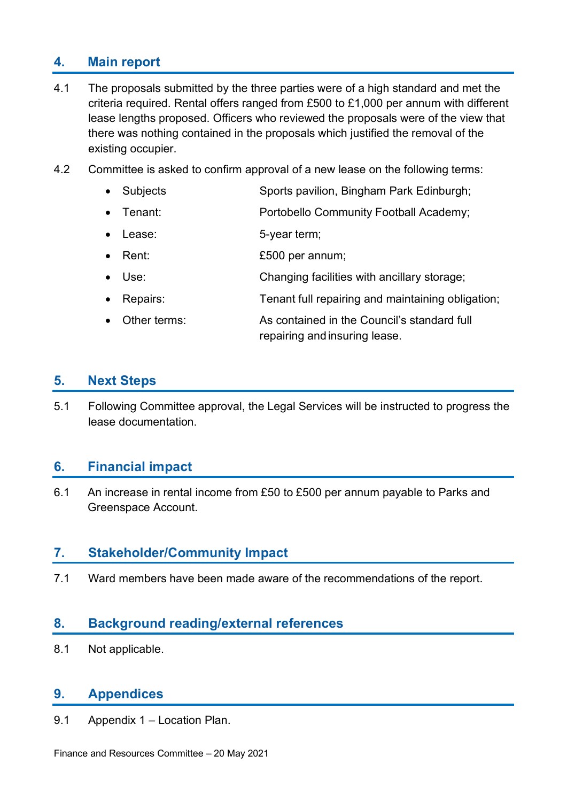### **4. Main report**

- 4.1 The proposals submitted by the three parties were of a high standard and met the criteria required. Rental offers ranged from £500 to £1,000 per annum with different lease lengths proposed. Officers who reviewed the proposals were of the view that there was nothing contained in the proposals which justified the removal of the existing occupier.
- 4.2 Committee is asked to confirm approval of a new lease on the following terms:
	- Subjects Sports pavilion, Bingham Park Edinburgh;
	- Tenant: Portobello Community Football Academy;
	- Lease: 5-year term;
	- Rent: **E500 per annum**;
	- Use: Changing facilities with ancillary storage;
	- Repairs: Tenant full repairing and maintaining obligation;
	- Other terms: As contained in the Council's standard full repairing and insuring lease.

#### **5. Next Steps**

5.1 Following Committee approval, the Legal Services will be instructed to progress the lease documentation.

#### **6. Financial impact**

6.1 An increase in rental income from £50 to £500 per annum payable to Parks and Greenspace Account.

#### **7. Stakeholder/Community Impact**

7.1 Ward members have been made aware of the recommendations of the report.

#### **8. Background reading/external references**

8.1 Not applicable.

### **9. Appendices**

9.1 Appendix 1 – Location Plan.

Finance and Resources Committee – 20 May 2021